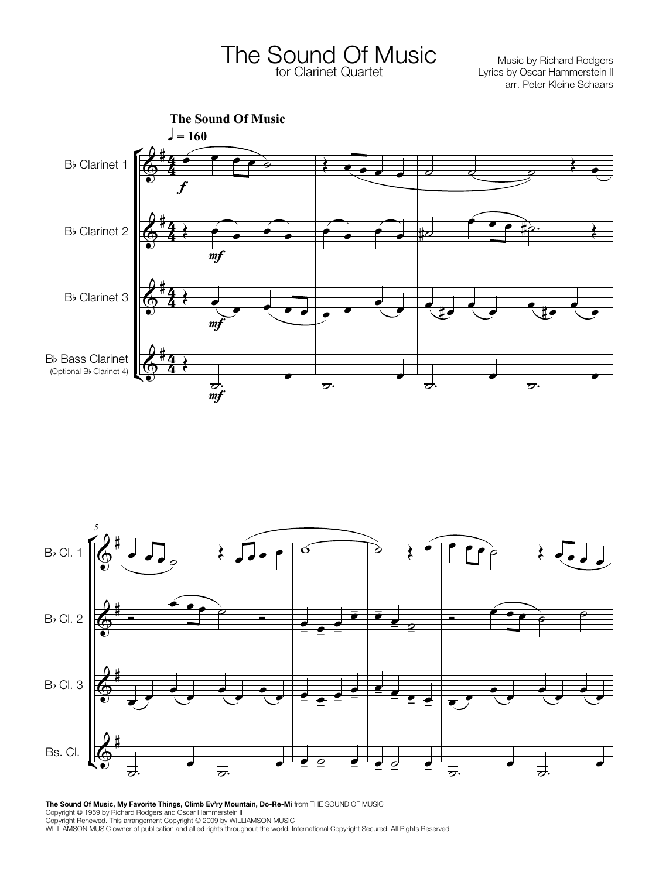The Sound Of Music Music by Richard Rodgers for Clarinet Quartet

Lyrics by Oscar Hammerstein ll arr. Peter Kleine Schaars





**The Sound Of Music, My Favorite Things, Climb Ev'ry Mountain, Do-Re-Mi** from THE SOUND OF MUSIC Copyright © 1959 by Richard Rodgers and Oscar Hammerstein lI Copyright Renewed. This arrangement Copyright © 2009 by WILLIAMSON MUSIC WILLIAMSON MUSIC owner of publication and allied rights throughout the world. International Copyright Secured. All Rights Reserved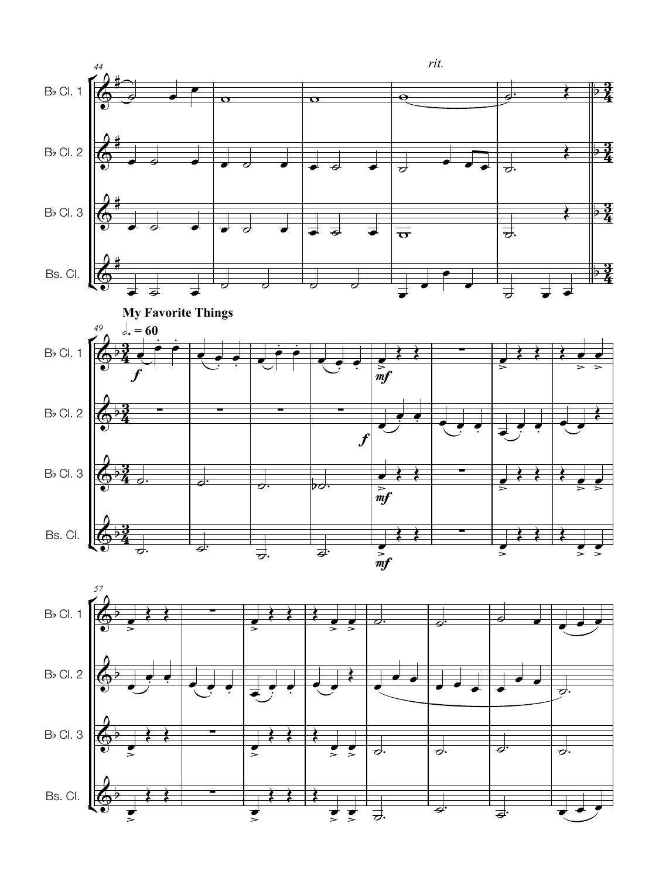